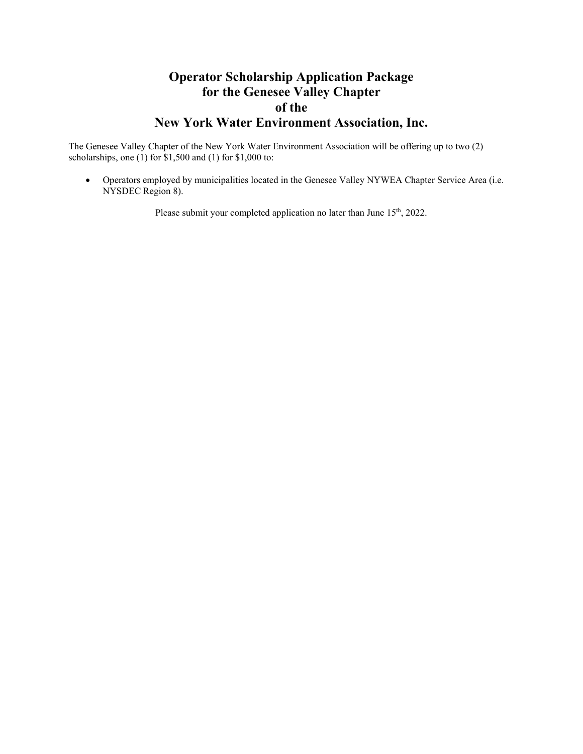# **Operator Scholarship Application Package for the Genesee Valley Chapter of the New York Water Environment Association, Inc.**

The Genesee Valley Chapter of the New York Water Environment Association will be offering up to two (2) scholarships, one  $(1)$  for \$1,500 and  $(1)$  for \$1,000 to:

 Operators employed by municipalities located in the Genesee Valley NYWEA Chapter Service Area (i.e. NYSDEC Region 8).

Please submit your completed application no later than June 15<sup>th</sup>, 2022.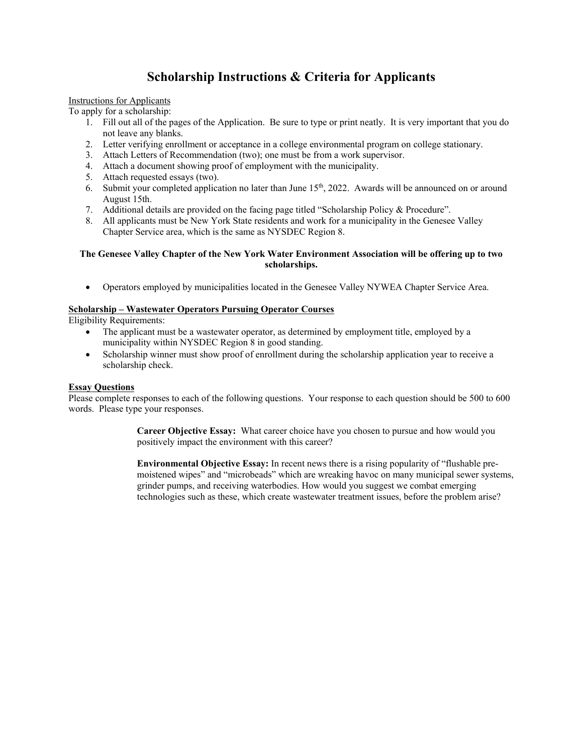## **Scholarship Instructions & Criteria for Applicants**

### Instructions for Applicants

To apply for a scholarship:

- 1. Fill out all of the pages of the Application. Be sure to type or print neatly. It is very important that you do not leave any blanks.
- 2. Letter verifying enrollment or acceptance in a college environmental program on college stationary.
- 3. Attach Letters of Recommendation (two); one must be from a work supervisor.
- 4. Attach a document showing proof of employment with the municipality.
- 5. Attach requested essays (two).
- 6. Submit your completed application no later than June  $15<sup>th</sup>$ , 2022. Awards will be announced on or around August 15th.
- 7. Additional details are provided on the facing page titled "Scholarship Policy & Procedure".
- 8. All applicants must be New York State residents and work for a municipality in the Genesee Valley Chapter Service area, which is the same as NYSDEC Region 8.

### **The Genesee Valley Chapter of the New York Water Environment Association will be offering up to two scholarships.**

Operators employed by municipalities located in the Genesee Valley NYWEA Chapter Service Area.

## **Scholarship – Wastewater Operators Pursuing Operator Courses**

Eligibility Requirements:

- The applicant must be a wastewater operator, as determined by employment title, employed by a municipality within NYSDEC Region 8 in good standing.
- Scholarship winner must show proof of enrollment during the scholarship application year to receive a scholarship check.

## **Essay Questions**

Please complete responses to each of the following questions. Your response to each question should be 500 to 600 words. Please type your responses.

> **Career Objective Essay:** What career choice have you chosen to pursue and how would you positively impact the environment with this career?

**Environmental Objective Essay:** In recent news there is a rising popularity of "flushable premoistened wipes" and "microbeads" which are wreaking havoc on many municipal sewer systems, grinder pumps, and receiving waterbodies. How would you suggest we combat emerging technologies such as these, which create wastewater treatment issues, before the problem arise?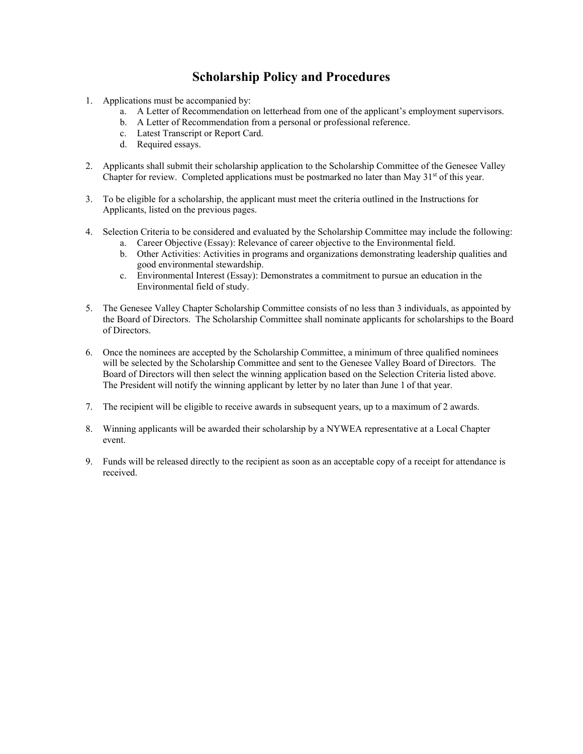## **Scholarship Policy and Procedures**

- 1. Applications must be accompanied by:
	- a. A Letter of Recommendation on letterhead from one of the applicant's employment supervisors.
	- b. A Letter of Recommendation from a personal or professional reference.
	- c. Latest Transcript or Report Card.
	- d. Required essays.
- 2. Applicants shall submit their scholarship application to the Scholarship Committee of the Genesee Valley Chapter for review. Completed applications must be postmarked no later than May  $31<sup>st</sup>$  of this year.
- 3. To be eligible for a scholarship, the applicant must meet the criteria outlined in the Instructions for Applicants, listed on the previous pages.
- 4. Selection Criteria to be considered and evaluated by the Scholarship Committee may include the following:
	- a. Career Objective (Essay): Relevance of career objective to the Environmental field.
	- b. Other Activities: Activities in programs and organizations demonstrating leadership qualities and good environmental stewardship.
	- c. Environmental Interest (Essay): Demonstrates a commitment to pursue an education in the Environmental field of study.
- 5. The Genesee Valley Chapter Scholarship Committee consists of no less than 3 individuals, as appointed by the Board of Directors. The Scholarship Committee shall nominate applicants for scholarships to the Board of Directors.
- 6. Once the nominees are accepted by the Scholarship Committee, a minimum of three qualified nominees will be selected by the Scholarship Committee and sent to the Genesee Valley Board of Directors. The Board of Directors will then select the winning application based on the Selection Criteria listed above. The President will notify the winning applicant by letter by no later than June 1 of that year.
- 7. The recipient will be eligible to receive awards in subsequent years, up to a maximum of 2 awards.
- 8. Winning applicants will be awarded their scholarship by a NYWEA representative at a Local Chapter event.
- 9. Funds will be released directly to the recipient as soon as an acceptable copy of a receipt for attendance is received.